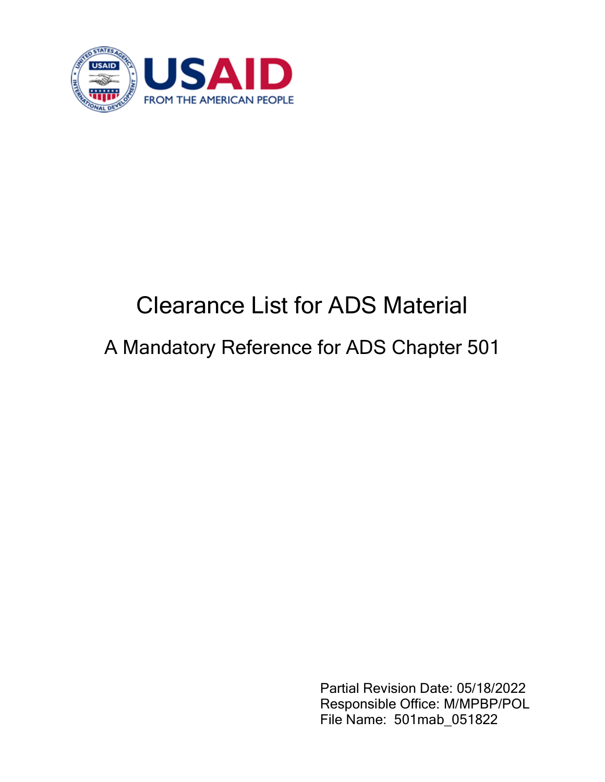

## Clearance List for ADS Material

## A Mandatory Reference for ADS Chapter 501

Partial Revision Date: 05/18/2022 Responsible Office: M/MPBP/POL File Name: 501mab\_051822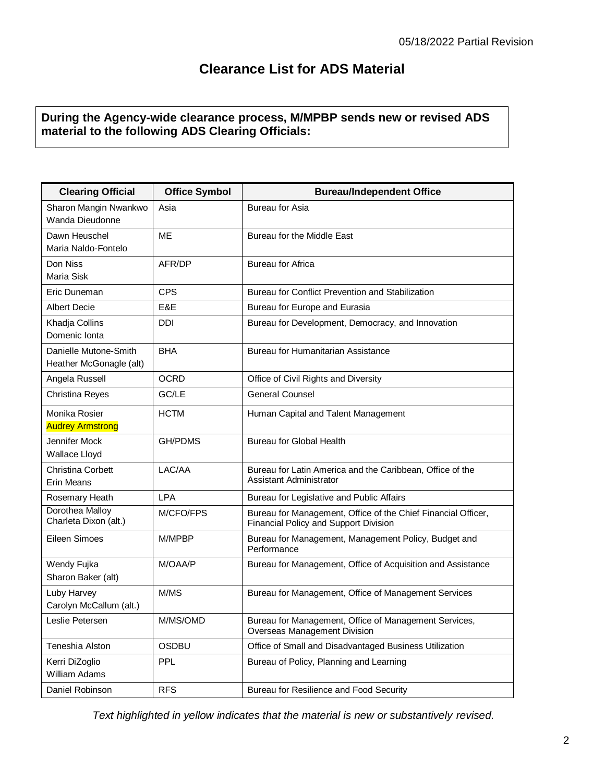## **Clearance List for ADS Material**

## **During the Agency-wide clearance process, M/MPBP sends new or revised ADS material to the following ADS Clearing Officials:**

| <b>Clearing Official</b>                         | <b>Office Symbol</b> | <b>Bureau/Independent Office</b>                                                                       |
|--------------------------------------------------|----------------------|--------------------------------------------------------------------------------------------------------|
| Sharon Mangin Nwankwo<br>Wanda Dieudonne         | Asia                 | <b>Bureau for Asia</b>                                                                                 |
| Dawn Heuschel<br>Maria Naldo-Fontelo             | ME                   | Bureau for the Middle East                                                                             |
| Don Niss<br>Maria Sisk                           | AFR/DP               | Bureau for Africa                                                                                      |
| Eric Duneman                                     | <b>CPS</b>           | Bureau for Conflict Prevention and Stabilization                                                       |
| <b>Albert Decie</b>                              | E&E                  | Bureau for Europe and Eurasia                                                                          |
| Khadja Collins<br>Domenic Ionta                  | <b>DDI</b>           | Bureau for Development, Democracy, and Innovation                                                      |
| Danielle Mutone-Smith<br>Heather McGonagle (alt) | <b>BHA</b>           | Bureau for Humanitarian Assistance                                                                     |
| Angela Russell                                   | <b>OCRD</b>          | Office of Civil Rights and Diversity                                                                   |
| Christina Reyes                                  | GC/LE                | <b>General Counsel</b>                                                                                 |
| Monika Rosier<br><b>Audrey Armstrong</b>         | <b>HCTM</b>          | Human Capital and Talent Management                                                                    |
| Jennifer Mock<br>Wallace Lloyd                   | <b>GH/PDMS</b>       | <b>Bureau for Global Health</b>                                                                        |
| Christina Corbett<br>Erin Means                  | LAC/AA               | Bureau for Latin America and the Caribbean, Office of the<br>Assistant Administrator                   |
| Rosemary Heath                                   | <b>LPA</b>           | Bureau for Legislative and Public Affairs                                                              |
| Dorothea Malloy<br>Charleta Dixon (alt.)         | M/CFO/FPS            | Bureau for Management, Office of the Chief Financial Officer,<br>Financial Policy and Support Division |
| Eileen Simoes                                    | M/MPBP               | Bureau for Management, Management Policy, Budget and<br>Performance                                    |
| Wendy Fujka<br>Sharon Baker (alt)                | M/OAA/P              | Bureau for Management, Office of Acquisition and Assistance                                            |
| Luby Harvey<br>Carolyn McCallum (alt.)           | M/MS                 | Bureau for Management, Office of Management Services                                                   |
| Leslie Petersen                                  | M/MS/OMD             | Bureau for Management, Office of Management Services,<br>Overseas Management Division                  |
| Teneshia Alston                                  | <b>OSDBU</b>         | Office of Small and Disadvantaged Business Utilization                                                 |
| Kerri DiZoglio<br><b>William Adams</b>           | <b>PPL</b>           | Bureau of Policy, Planning and Learning                                                                |
| Daniel Robinson                                  | <b>RFS</b>           | Bureau for Resilience and Food Security                                                                |

*Text highlighted in yellow indicates that the material is new or substantively revised.*